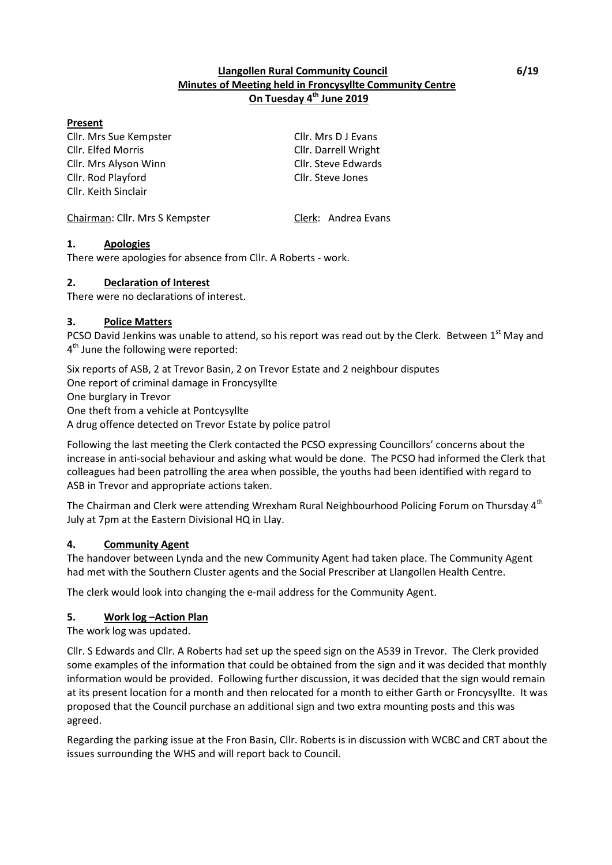## **Llangollen Rural Community Council 6/19 Minutes of Meeting held in Froncysyllte Community Centre On Tuesday 4 th June 2019**

#### **Present**

Cllr. Mrs Sue Kempster Cllr. Mrs D J Evans Cllr. Elfed Morris Cllr. Darrell Wright Cllr. Mrs Alyson Winn Cllr. Steve Edwards Cllr. Rod Playford Cllr. Steve Jones Cllr. Keith Sinclair

Chairman: Cllr. Mrs S Kempster Clerk: Andrea Evans

## **1. Apologies**

There were apologies for absence from Cllr. A Roberts - work.

## **2. Declaration of Interest**

There were no declarations of interest.

## **3. Police Matters**

PCSO David Jenkins was unable to attend, so his report was read out by the Clerk. Between 1<sup>st</sup> May and 4<sup>th</sup> June the following were reported:

Six reports of ASB, 2 at Trevor Basin, 2 on Trevor Estate and 2 neighbour disputes One report of criminal damage in Froncysyllte One burglary in Trevor One theft from a vehicle at Pontcysyllte A drug offence detected on Trevor Estate by police patrol

Following the last meeting the Clerk contacted the PCSO expressing Councillors' concerns about the increase in anti-social behaviour and asking what would be done. The PCSO had informed the Clerk that colleagues had been patrolling the area when possible, the youths had been identified with regard to ASB in Trevor and appropriate actions taken.

The Chairman and Clerk were attending Wrexham Rural Neighbourhood Policing Forum on Thursday 4<sup>th</sup> July at 7pm at the Eastern Divisional HQ in Llay.

## **4. Community Agent**

The handover between Lynda and the new Community Agent had taken place. The Community Agent had met with the Southern Cluster agents and the Social Prescriber at Llangollen Health Centre.

The clerk would look into changing the e-mail address for the Community Agent.

## **5. Work log –Action Plan**

The work log was updated.

Cllr. S Edwards and Cllr. A Roberts had set up the speed sign on the A539 in Trevor. The Clerk provided some examples of the information that could be obtained from the sign and it was decided that monthly information would be provided. Following further discussion, it was decided that the sign would remain at its present location for a month and then relocated for a month to either Garth or Froncysyllte. It was proposed that the Council purchase an additional sign and two extra mounting posts and this was agreed.

Regarding the parking issue at the Fron Basin, Cllr. Roberts is in discussion with WCBC and CRT about the issues surrounding the WHS and will report back to Council.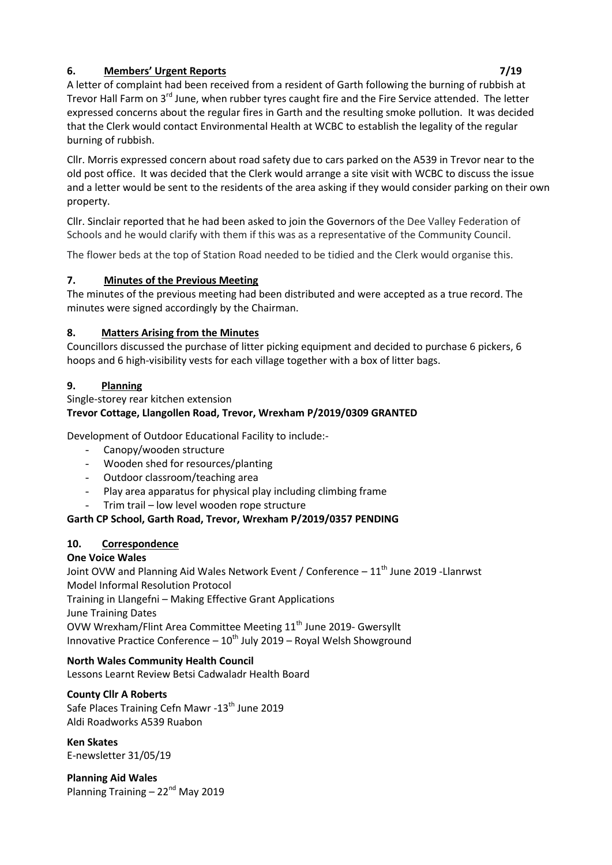# **6. Members' Urgent Reports 7/19**

A letter of complaint had been received from a resident of Garth following the burning of rubbish at Trevor Hall Farm on 3<sup>rd</sup> June, when rubber tyres caught fire and the Fire Service attended. The letter expressed concerns about the regular fires in Garth and the resulting smoke pollution. It was decided that the Clerk would contact Environmental Health at WCBC to establish the legality of the regular burning of rubbish.

Cllr. Morris expressed concern about road safety due to cars parked on the A539 in Trevor near to the old post office. It was decided that the Clerk would arrange a site visit with WCBC to discuss the issue and a letter would be sent to the residents of the area asking if they would consider parking on their own property.

Cllr. Sinclair reported that he had been asked to join the Governors of the Dee Valley Federation of Schools and he would clarify with them if this was as a representative of the Community Council.

The flower beds at the top of Station Road needed to be tidied and the Clerk would organise this.

# **7. Minutes of the Previous Meeting**

The minutes of the previous meeting had been distributed and were accepted as a true record. The minutes were signed accordingly by the Chairman.

# **8. Matters Arising from the Minutes**

Councillors discussed the purchase of litter picking equipment and decided to purchase 6 pickers, 6 hoops and 6 high-visibility vests for each village together with a box of litter bags.

# **9. Planning**

# Single-storey rear kitchen extension **Trevor Cottage, Llangollen Road, Trevor, Wrexham P/2019/0309 GRANTED**

Development of Outdoor Educational Facility to include:-

- Canopy/wooden structure
- Wooden shed for resources/planting
- Outdoor classroom/teaching area
- Play area apparatus for physical play including climbing frame
- Trim trail low level wooden rope structure

# **Garth CP School, Garth Road, Trevor, Wrexham P/2019/0357 PENDING**

## **10. Correspondence**

# **One Voice Wales**

Joint OVW and Planning Aid Wales Network Event / Conference - 11<sup>th</sup> June 2019 - Llanrwst Model Informal Resolution Protocol Training in Llangefni – Making Effective Grant Applications

June Training Dates

OVW Wrexham/Flint Area Committee Meeting 11<sup>th</sup> June 2019- Gwersyllt Innovative Practice Conference  $-10^{th}$  July 2019 – Royal Welsh Showground

# **North Wales Community Health Council**

Lessons Learnt Review Betsi Cadwaladr Health Board

## **County Cllr A Roberts**

Safe Places Training Cefn Mawr -13<sup>th</sup> June 2019 Aldi Roadworks A539 Ruabon

**Ken Skates**

E-newsletter 31/05/19

**Planning Aid Wales** Planning Training - 22<sup>nd</sup> May 2019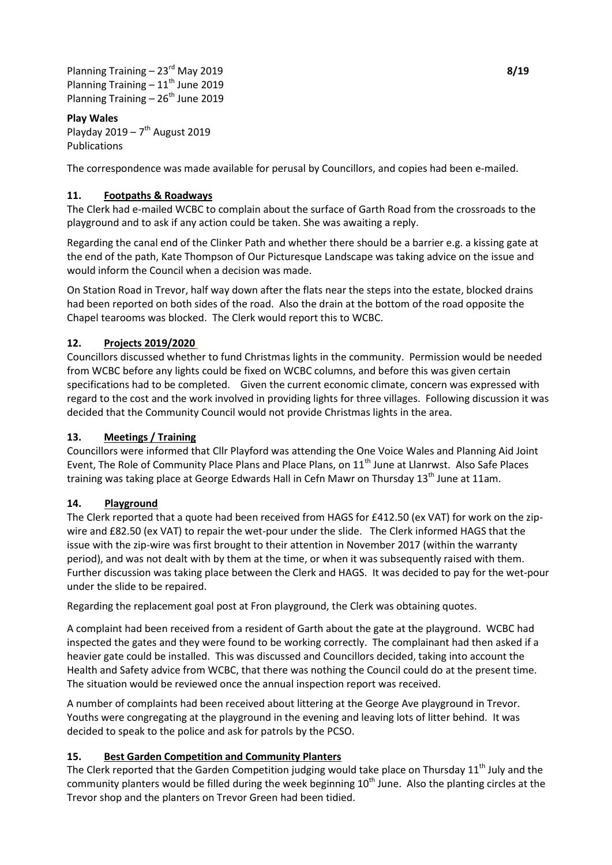Planning Training – 23rd May 2019 **8/19** Planning Training  $-11^{th}$  June 2019 Planning Training – 26<sup>th</sup> June 2019

## **Play Wales**

Playday  $2019 - 7$ <sup>th</sup> August 2019 Publications

The correspondence was made available for perusal by Councillors, and copies had been e-mailed.

#### **11. Footpaths & Roadways**

The Clerk had e-mailed WCBC to complain about the surface of Garth Road from the crossroads to the playground and to ask if any action could be taken. She was awaiting a reply.

Regarding the canal end of the Clinker Path and whether there should be a barrier e.g. a kissing gate at the end of the path, Kate Thompson of Our Picturesque Landscape was taking advice on the issue and would inform the Council when a decision was made.

On Station Road in Trevor, half way down after the flats near the steps into the estate, blocked drains had been reported on both sides of the road. Also the drain at the bottom of the road opposite the Chapel tearooms was blocked. The Clerk would report this to WCBC.

#### **12. Projects 2019/2020**

Councillors discussed whether to fund Christmas lights in the community. Permission would be needed from WCBC before any lights could be fixed on WCBC columns, and before this was given certain specifications had to be completed. Given the current economic climate, concern was expressed with regard to the cost and the work involved in providing lights for three villages. Following discussion it was decided that the Community Council would not provide Christmas lights in the area.

#### **13. Meetings / Training**

Councillors were informed that Cllr Playford was attending the One Voice Wales and Planning Aid Joint Event, The Role of Community Place Plans and Place Plans, on 11<sup>th</sup> June at Llanrwst. Also Safe Places training was taking place at George Edwards Hall in Cefn Mawr on Thursday 13<sup>th</sup> June at 11am.

#### **14. Playground**

The Clerk reported that a quote had been received from HAGS for £412.50 (ex VAT) for work on the zipwire and £82.50 (ex VAT) to repair the wet-pour under the slide. The Clerk informed HAGS that the issue with the zip-wire was first brought to their attention in November 2017 (within the warranty period), and was not dealt with by them at the time, or when it was subsequently raised with them. Further discussion was taking place between the Clerk and HAGS. It was decided to pay for the wet-pour under the slide to be repaired.

Regarding the replacement goal post at Fron playground, the Clerk was obtaining quotes.

A complaint had been received from a resident of Garth about the gate at the playground. WCBC had inspected the gates and they were found to be working correctly. The complainant had then asked if a heavier gate could be installed. This was discussed and Councillors decided, taking into account the Health and Safety advice from WCBC, that there was nothing the Council could do at the present time. The situation would be reviewed once the annual inspection report was received.

A number of complaints had been received about littering at the George Ave playground in Trevor. Youths were congregating at the playground in the evening and leaving lots of litter behind. It was decided to speak to the police and ask for patrols by the PCSO.

## **15. Best Garden Competition and Community Planters**

The Clerk reported that the Garden Competition judging would take place on Thursday  $11<sup>th</sup>$  July and the community planters would be filled during the week beginning 10<sup>th</sup> June. Also the planting circles at the Trevor shop and the planters on Trevor Green had been tidied.